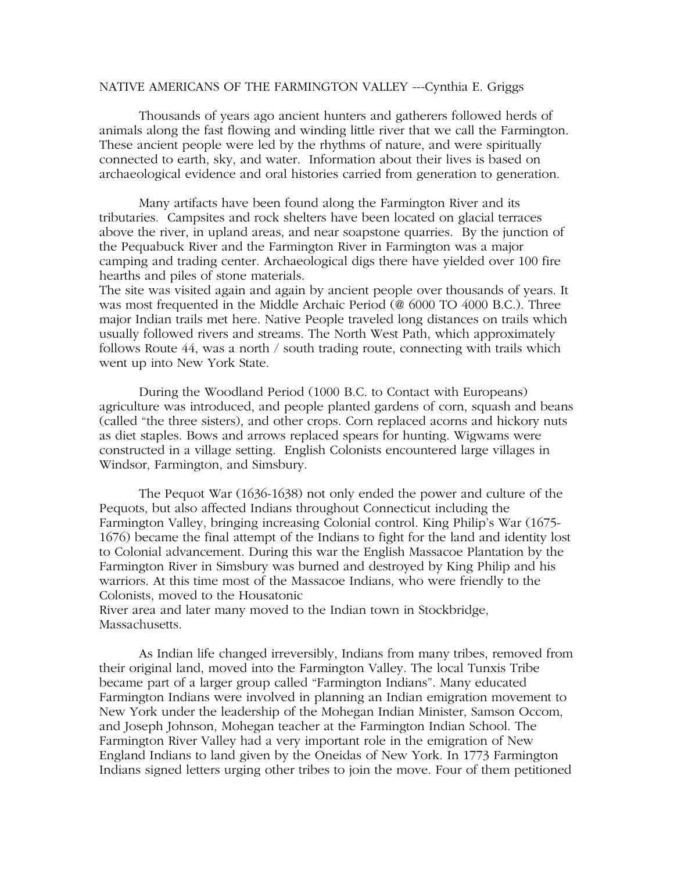## NATIVE AMERICANS OF THE FARMINGTON VALLEY ---Cynthia E. Griggs

Thousands of years ago ancient hunters and gatherers followed herds of animals along the fast flowing and winding little river that we call the Farmington. These ancient people were led by the rhythms of nature, and were spiritually connected to earth, sky, and water. Information about their lives is based on archaeological evidence and oral histories carried from generation to generation.

Many artifacts have been found along the Farmington River and its tributaries. Campsites and rock shelters have been located on glacial terraces above the river, in upland areas, and near soapstone quarries. By the junction of the Pequabuck River and the Farmington River in Farmington was a major camping and trading center. Archaeological digs there have yielded over 100 fire hearths and piles of stone materials.

The site was visited again and again by ancient people over thousands of years. It was most frequented in the Middle Archaic Period (@ 6000 TO 4000 B.C.). Three major Indian trails met here. Native People traveled long distances on trails which usually followed rivers and streams. The North West Path, which approximately follows Route 44, was a north / south trading route, connecting with trails which went up into New York State.

During the Woodland Period (1000 B.C. to Contact with Europeans) agriculture was introduced, and people planted gardens of corn, squash and beans (called "the three sisters), and other crops. Corn replaced acorns and hickory nuts as diet staples. Bows and arrows replaced spears for hunting. Wigwams were constructed in a village setting. English Colonists encountered large villages in Windsor, Farmington, and Simsbury.

The Pequot War (1636-1638) not only ended the power and culture of the Pequots, but also affected Indians throughout Connecticut including the Farmington Valley, bringing increasing Colonial control. King Philip's War (1675- 1676) became the final attempt of the Indians to fight for the land and identity lost to Colonial advancement. During this war the English Massacoe Plantation by the Farmington River in Simsbury was burned and destroyed by King Philip and his warriors. At this time most of the Massacoe Indians, who were friendly to the Colonists, moved to the Housatonic

River area and later many moved to the Indian town in Stockbridge, Massachusetts.

As Indian life changed irreversibly, Indians from many tribes, removed from their original land, moved into the Farmington Valley. The local Tunxis Tribe became part of a larger group called "Farmington Indians". Many educated Farmington Indians were involved in planning an Indian emigration movement to New York under the leadership of the Mohegan Indian Minister, Samson Occom, and Joseph Johnson, Mohegan teacher at the Farmington Indian School. The Farmington River Valley had a very important role in the emigration of New England Indians to land given by the Oneidas of New York. In 1773 Farmington Indians signed letters urging other tribes to join the move. Four of them petitioned